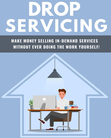## CING

## **MAKE MONEY SELLING IN-DEMAND SERVICES** WITHOUT EVER DOING THE WORK YOURSELF!

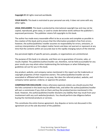**Copyright ©** All rights reserved worldwide.

**YOUR RIGHTS:** This book is restricted to your personal use only. It does not come with any other rights.

**LEGAL DISCLAIMER:** This book is protected by international copyright law and may not be copied, reproduced, given away, or used to create derivative works without the publisher's expressed permission. The publisher retains full copyrights to this book.

The author has made every reasonable effort to be as accurate and complete as possible in the creation of this book and to ensure that the information provided is free from errors; however, the author/publisher/ reseller assumes no responsibility for errors, omissions, or contrary interpretation of the subject matter herein and does not warrant or represent at any time that the contents within are accurate due to the rapidly changing nature of the internet.

Any perceived slights of specific persons, peoples, or organizations are unintentional.

The purpose of this book is to educate, and there are no guarantees of income, sales, or results implied. The publisher/author/reseller can, therefore, not be held accountable for any poor results you may attain when implementing the techniques or when following any guidelines set out for you in this book.

Any product, website, and company names mentioned in this report are the trademarks or copyright properties of their respective owners. The author/publisher/reseller are not associated or affiliated with them in any way. Nor does the referred product, website, and company names sponsor, endorse, or approve this product.

**COMPENSATION DISCLOSURE:** Unless otherwise expressly stated, you should assume that the links contained in this book may be affiliate links, and either the author/publisher/reseller will earn a commission if you click on them and buy the product/service mentioned in this book. However, the author/publisher/reseller disclaims any liability that may result from your involvement with any such websites/products. You should perform due diligence before buying the mentioned products or services.

This constitutes the entire license agreement. Any disputes or terms not discussed in this agreement are at the sole discretion of the publisher.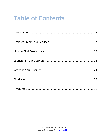## **Table of Contents**